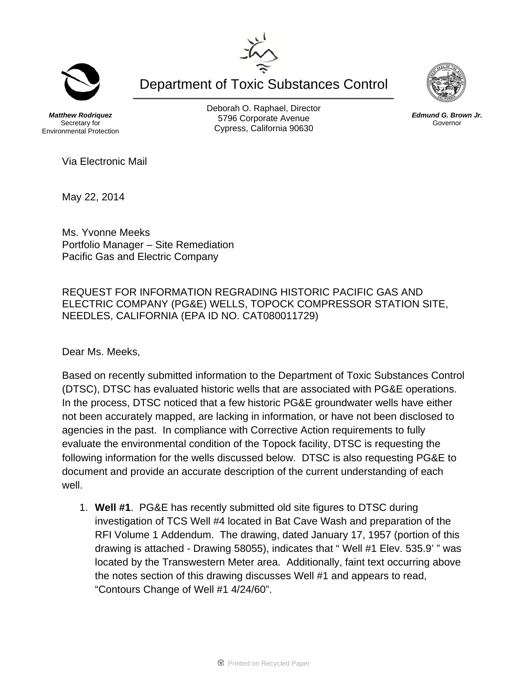Department of Toxic Substances Control

*Matthew Rodriquez*  Secretary for Environmental Protection Deborah O. Raphael, Director 5796 Corporate Avenue Cypress, California 90630



May 22, 2014

Ms. Yvonne Meeks Portfolio Manager – Site Remediation Pacific Gas and Electric Company

REQUEST FOR INFORMATION REGRADING HISTORIC PACIFIC GAS AND ELECTRIC COMPANY (PG&E) WELLS, TOPOCK COMPRESSOR STATION SITE, NEEDLES, CALIFORNIA (EPA ID NO. CAT080011729)

Dear Ms. Meeks,

Based on recently submitted information to the Department of Toxic Substances Control (DTSC), DTSC has evaluated historic wells that are associated with PG&E operations. In the process, DTSC noticed that a few historic PG&E groundwater wells have either not been accurately mapped, are lacking in information, or have not been disclosed to agencies in the past. In compliance with Corrective Action requirements to fully evaluate the environmental condition of the Topock facility, DTSC is requesting the following information for the wells discussed below. DTSC is also requesting PG&E to document and provide an accurate description of the current understanding of each well.

1. **Well #1**. PG&E has recently submitted old site figures to DTSC during investigation of TCS Well #4 located in Bat Cave Wash and preparation of the RFI Volume 1 Addendum. The drawing, dated January 17, 1957 (portion of this drawing is attached - Drawing 58055), indicates that " Well #1 Elev. 535.9' " was located by the Transwestern Meter area. Additionally, faint text occurring above the notes section of this drawing discusses Well #1 and appears to read, "Contours Change of Well #1 4/24/60".





*Edmund G. Brown Jr.*  Governor

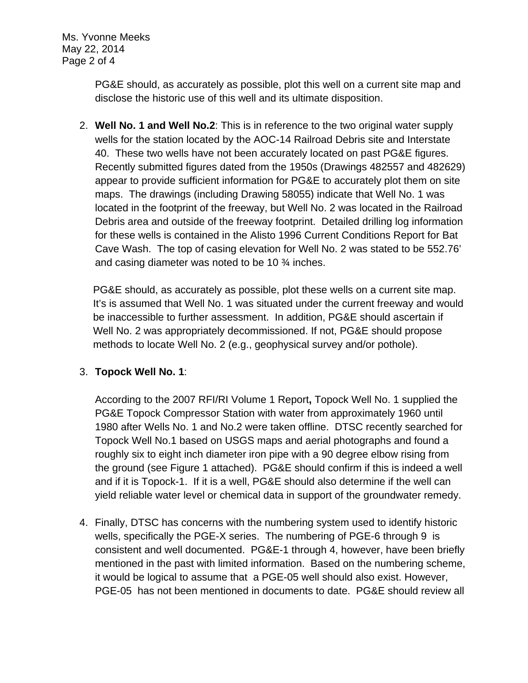Ms. Yvonne Meeks May 22, 2014 Page 2 of 4

> PG&E should, as accurately as possible, plot this well on a current site map and disclose the historic use of this well and its ultimate disposition.

2. **Well No. 1 and Well No.2**: This is in reference to the two original water supply wells for the station located by the AOC-14 Railroad Debris site and Interstate 40. These two wells have not been accurately located on past PG&E figures. Recently submitted figures dated from the 1950s (Drawings 482557 and 482629) appear to provide sufficient information for PG&E to accurately plot them on site maps. The drawings (including Drawing 58055) indicate that Well No. 1 was located in the footprint of the freeway, but Well No. 2 was located in the Railroad Debris area and outside of the freeway footprint. Detailed drilling log information for these wells is contained in the Alisto 1996 Current Conditions Report for Bat Cave Wash. The top of casing elevation for Well No. 2 was stated to be 552.76' and casing diameter was noted to be 10 ¾ inches.

PG&E should, as accurately as possible, plot these wells on a current site map. It's is assumed that Well No. 1 was situated under the current freeway and would be inaccessible to further assessment. In addition, PG&E should ascertain if Well No. 2 was appropriately decommissioned. If not, PG&E should propose methods to locate Well No. 2 (e.g., geophysical survey and/or pothole).

## 3. **Topock Well No. 1**:

According to the 2007 RFI/RI Volume 1 Report**,** Topock Well No. 1 supplied the PG&E Topock Compressor Station with water from approximately 1960 until 1980 after Wells No. 1 and No.2 were taken offline. DTSC recently searched for Topock Well No.1 based on USGS maps and aerial photographs and found a roughly six to eight inch diameter iron pipe with a 90 degree elbow rising from the ground (see Figure 1 attached). PG&E should confirm if this is indeed a well and if it is Topock-1. If it is a well, PG&E should also determine if the well can yield reliable water level or chemical data in support of the groundwater remedy.

4. Finally, DTSC has concerns with the numbering system used to identify historic wells, specifically the PGE-X series. The numbering of PGE-6 through 9 is consistent and well documented. PG&E-1 through 4, however, have been briefly mentioned in the past with limited information. Based on the numbering scheme, it would be logical to assume that a PGE-05 well should also exist. However, PGE-05 has not been mentioned in documents to date. PG&E should review all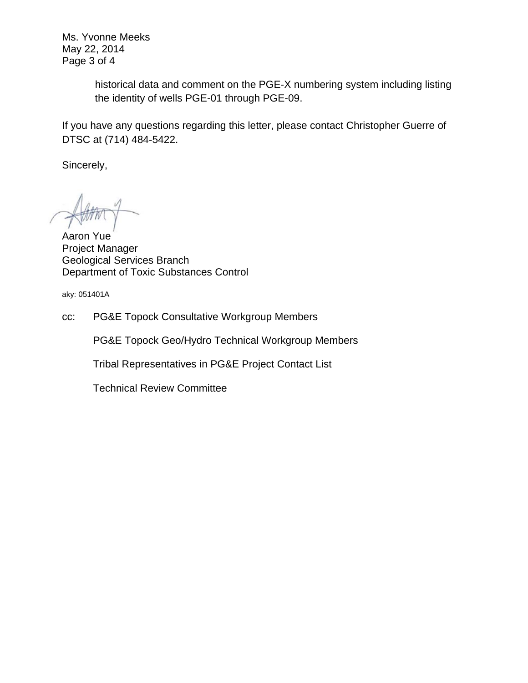Ms. Yvonne Meeks May 22, 2014 Page 3 of 4

> historical data and comment on the PGE-X numbering system including listing the identity of wells PGE-01 through PGE-09.

If you have any questions regarding this letter, please contact Christopher Guerre of DTSC at (714) 484-5422.

Sincerely,

Aaron Yue Project Manager Geological Services Branch Department of Toxic Substances Control

aky: 051401A

cc: PG&E Topock Consultative Workgroup Members

PG&E Topock Geo/Hydro Technical Workgroup Members

Tribal Representatives in PG&E Project Contact List

Technical Review Committee